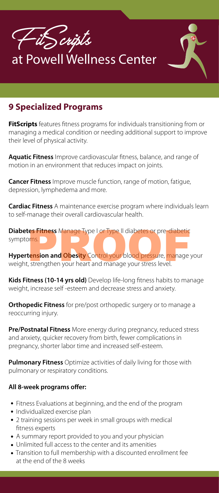

## **9 Specialized Programs**

**FitScripts** features fitness programs for individuals transitioning from or managing a medical condition or needing additional support to improve their level of physical activity.

Aquatic Fitness Improve cardiovascular fitness, balance, and range of motion in an environment that reduces impact on joints.

**Cancer Fitness** Improve muscle function, range of motion, fatigue, depression, lymphedema and more.

**Cardiac Fitness** A maintenance exercise program where individuals learn to self-manage their overall cardiovascular health.

**Diabetes Fitness** Manage Type I or Type II diabetes or pre-diabetic symptoms.

**Hypertension and Obesity** Control your blood pressure, manage your weight, strengthen your heart and manage your stress level. t**es Fitness** Manage Type I or Type II diabetes or pre-diabetic<br>pms.<br>**tension and Obesity** Control your blood pressure, manage <sub>)</sub><br>, strengthen your heart and manage your stress level.

Kids Fitness (10-14 yrs old) Develop life-long fitness habits to manage weight, increase self -esteem and decrease stress and anxiety.

**Orthopedic Fitness** for pre/post orthopedic surgery or to manage a reoccurring injury.

**Pre/Postnatal Fitness** More energy during pregnancy, reduced stress and anxiety, quicker recovery from birth, fewer complications in pregnancy, shorter labor time and increased self-esteem.

**Pulmonary Fitness** Optimize activities of daily living for those with pulmonary or respiratory conditions.

## **All 8-week programs offer:**

- Fitness Evaluations at beginning, and the end of the program
- Individualized exercise plan
- 2 training sessions per week in small groups with medical fitness experts
- A summary report provided to you and your physician
- Unlimited full access to the center and its amenities
- Transition to full membership with a discounted enrollment fee at the end of the 8 weeks